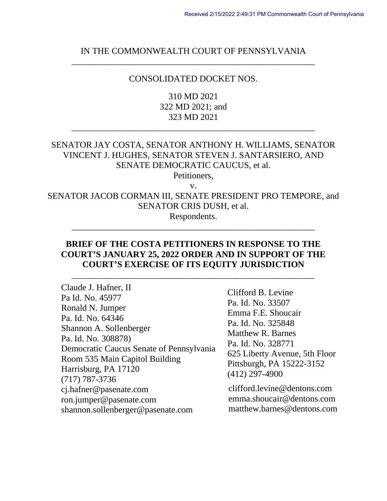## IN THE COMMONWEALTH COURT OF PENNSYLVANIA \_\_\_\_\_\_\_\_\_\_\_\_\_\_\_\_\_\_\_\_\_\_\_\_\_\_\_\_\_\_\_\_\_\_\_\_\_\_\_\_\_\_\_\_\_\_\_\_\_\_\_\_\_\_\_

#### CONSOLIDATED DOCKET NOS.

310 MD 2021 322 MD 2021; and 323 MD 2021

\_\_\_\_\_\_\_\_\_\_\_\_\_\_\_\_\_\_\_\_\_\_\_\_\_\_\_\_\_\_\_\_\_\_\_\_\_\_\_\_\_\_\_\_\_\_\_\_\_\_\_\_\_\_\_

# SENATOR JAY COSTA, SENATOR ANTHONY H. WILLIAMS, SENATOR VINCENT J. HUGHES, SENATOR STEVEN J. SANTARSIERO, AND SENATE DEMOCRATIC CAUCUS, et al.

Petitioners,

v.

SENATOR JACOB CORMAN III, SENATE PRESIDENT PRO TEMPORE, and SENATOR CRIS DUSH, et al.

Respondents. \_\_\_\_\_\_\_\_\_\_\_\_\_\_\_\_\_\_\_\_\_\_\_\_\_\_\_\_\_\_\_\_\_\_\_\_\_\_\_\_\_\_\_\_\_\_\_\_\_\_\_\_\_\_\_

### **BRIEF OF THE COSTA PETITIONERS IN RESPONSE TO THE COURT'S JANUARY 25, 2022 ORDER AND IN SUPPORT OF THE COURT'S EXERCISE OF ITS EQUITY JURISDICTION**

\_\_\_\_\_\_\_\_\_\_\_\_\_\_\_\_\_\_\_\_\_\_\_\_\_\_\_\_\_\_\_\_\_\_\_\_\_\_\_\_\_\_\_\_\_\_\_\_\_\_\_\_\_\_\_

Claude J. Hafner, II Pa Id. No. 45977 Ronald N. Jumper Pa. Id. No. 64346 Shannon A. Sollenberger Pa. Id. No. 308878) Democratic Caucus Senate of Pennsylvania Room 535 Main Capitol Building Harrisburg, PA 17120 (717) 787-3736 cj.hafner@pasenate.com ron.jumper@pasenate.com shannon.sollenberger@pasenate.com

Clifford B. Levine Pa. Id. No. 33507 Emma F.E. Shoucair Pa. Id. No. 325848 Matthew R. Barnes Pa. Id. No. 328771 625 Liberty Avenue, 5th Floor Pittsburgh, PA 15222-3152 (412) 297-4900

clifford.levine@dentons.com emma.shoucair@dentons.com matthew.barnes@dentons.com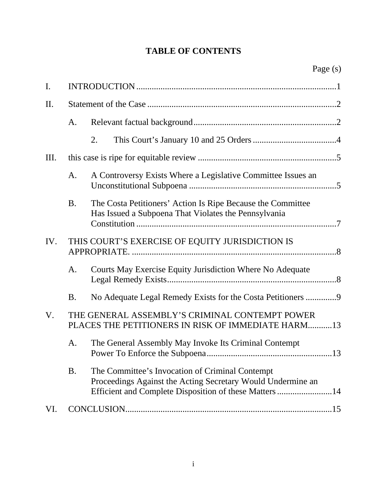# **TABLE OF CONTENTS**

| I.  |                                                                                                      |                                                                                                                                                                          |  |
|-----|------------------------------------------------------------------------------------------------------|--------------------------------------------------------------------------------------------------------------------------------------------------------------------------|--|
| II. |                                                                                                      |                                                                                                                                                                          |  |
|     | A.                                                                                                   |                                                                                                                                                                          |  |
|     |                                                                                                      | 2.                                                                                                                                                                       |  |
| Ш.  |                                                                                                      |                                                                                                                                                                          |  |
|     | A.                                                                                                   | A Controversy Exists Where a Legislative Committee Issues an                                                                                                             |  |
|     | <b>B.</b>                                                                                            | The Costa Petitioners' Action Is Ripe Because the Committee<br>Has Issued a Subpoena That Violates the Pennsylvania                                                      |  |
| IV. |                                                                                                      | THIS COURT'S EXERCISE OF EQUITY JURISDICTION IS                                                                                                                          |  |
|     | A.                                                                                                   | Courts May Exercise Equity Jurisdiction Where No Adequate                                                                                                                |  |
|     | <b>B.</b>                                                                                            |                                                                                                                                                                          |  |
| V.  | THE GENERAL ASSEMBLY'S CRIMINAL CONTEMPT POWER<br>PLACES THE PETITIONERS IN RISK OF IMMEDIATE HARM13 |                                                                                                                                                                          |  |
|     | A.                                                                                                   | The General Assembly May Invoke Its Criminal Contempt                                                                                                                    |  |
|     | <b>B.</b>                                                                                            | The Committee's Invocation of Criminal Contempt<br>Proceedings Against the Acting Secretary Would Undermine an<br>Efficient and Complete Disposition of these Matters 14 |  |
| VI. |                                                                                                      |                                                                                                                                                                          |  |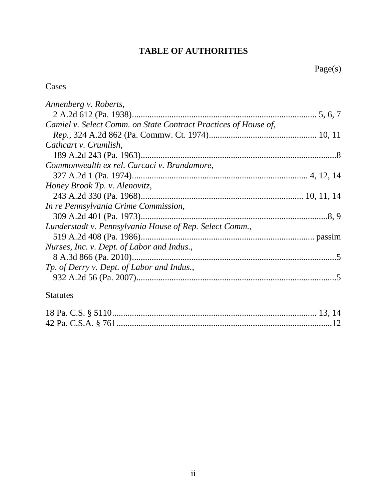# **TABLE OF AUTHORITIES**

# Cases

| Annenberg v. Roberts,                                           |  |
|-----------------------------------------------------------------|--|
|                                                                 |  |
| Camiel v. Select Comm. on State Contract Practices of House of, |  |
|                                                                 |  |
| Cathcart v. Crumlish,                                           |  |
|                                                                 |  |
| Commonwealth ex rel. Carcaci v. Brandamore,                     |  |
|                                                                 |  |
| Honey Brook Tp. v. Alenovitz,                                   |  |
|                                                                 |  |
| In re Pennsylvania Crime Commission,                            |  |
|                                                                 |  |
| Lunderstadt v. Pennsylvania House of Rep. Select Comm.,         |  |
|                                                                 |  |
| Nurses, Inc. v. Dept. of Labor and Indus.,                      |  |
|                                                                 |  |
| Tp. of Derry v. Dept. of Labor and Indus.,                      |  |
|                                                                 |  |
|                                                                 |  |

# Statutes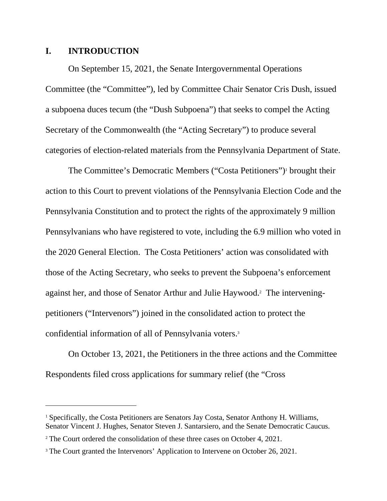#### **I. INTRODUCTION**

On September 15, 2021, the Senate Intergovernmental Operations Committee (the "Committee"), led by Committee Chair Senator Cris Dush, issued a subpoena duces tecum (the "Dush Subpoena") that seeks to compel the Acting Secretary of the Commonwealth (the "Acting Secretary") to produce several categories of election-related materials from the Pennsylvania Department of State.

The Committee's Democratic Members ("Costa Petitioners")<sup>1</sup> brought their action to this Court to prevent violations of the Pennsylvania Election Code and the Pennsylvania Constitution and to protect the rights of the approximately 9 million Pennsylvanians who have registered to vote, including the 6.9 million who voted in the 2020 General Election. The Costa Petitioners' action was consolidated with those of the Acting Secretary, who seeks to prevent the Subpoena's enforcement against her, and those of Senator Arthur and Julie Haywood.<sup>2</sup> The interveningpetitioners ("Intervenors") joined in the consolidated action to protect the confidential information of all of Pennsylvania voters.<sup>3</sup>

On October 13, 2021, the Petitioners in the three actions and the Committee Respondents filed cross applications for summary relief (the "Cross

<sup>&</sup>lt;sup>1</sup> Specifically, the Costa Petitioners are Senators Jay Costa, Senator Anthony H. Williams, Senator Vincent J. Hughes, Senator Steven J. Santarsiero, and the Senate Democratic Caucus.

<sup>&</sup>lt;sup>2</sup> The Court ordered the consolidation of these three cases on October 4, 2021.

<sup>&</sup>lt;sup>3</sup> The Court granted the Intervenors' Application to Intervene on October 26, 2021.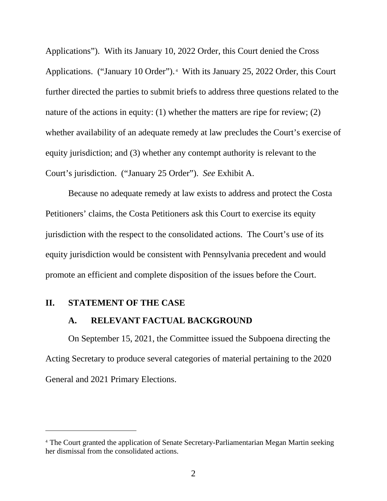Applications"). With its January 10, 2022 Order, this Court denied the Cross Applications. ("January 10 Order").<sup>4</sup> With its January 25, 2022 Order, this Court further directed the parties to submit briefs to address three questions related to the nature of the actions in equity: (1) whether the matters are ripe for review; (2) whether availability of an adequate remedy at law precludes the Court's exercise of equity jurisdiction; and (3) whether any contempt authority is relevant to the Court's jurisdiction. ("January 25 Order"). *See* Exhibit A.

Because no adequate remedy at law exists to address and protect the Costa Petitioners' claims, the Costa Petitioners ask this Court to exercise its equity jurisdiction with the respect to the consolidated actions. The Court's use of its equity jurisdiction would be consistent with Pennsylvania precedent and would promote an efficient and complete disposition of the issues before the Court.

#### **II. STATEMENT OF THE CASE**

### **A. RELEVANT FACTUAL BACKGROUND**

On September 15, 2021, the Committee issued the Subpoena directing the Acting Secretary to produce several categories of material pertaining to the 2020 General and 2021 Primary Elections.

<sup>&</sup>lt;sup>4</sup> The Court granted the application of Senate Secretary-Parliamentarian Megan Martin seeking her dismissal from the consolidated actions.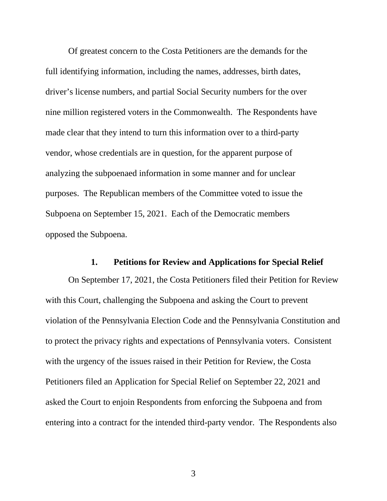Of greatest concern to the Costa Petitioners are the demands for the full identifying information, including the names, addresses, birth dates, driver's license numbers, and partial Social Security numbers for the over nine million registered voters in the Commonwealth. The Respondents have made clear that they intend to turn this information over to a third-party vendor, whose credentials are in question, for the apparent purpose of analyzing the subpoenaed information in some manner and for unclear purposes. The Republican members of the Committee voted to issue the Subpoena on September 15, 2021. Each of the Democratic members opposed the Subpoena.

#### **1. Petitions for Review and Applications for Special Relief**

On September 17, 2021, the Costa Petitioners filed their Petition for Review with this Court, challenging the Subpoena and asking the Court to prevent violation of the Pennsylvania Election Code and the Pennsylvania Constitution and to protect the privacy rights and expectations of Pennsylvania voters. Consistent with the urgency of the issues raised in their Petition for Review, the Costa Petitioners filed an Application for Special Relief on September 22, 2021 and asked the Court to enjoin Respondents from enforcing the Subpoena and from entering into a contract for the intended third-party vendor. The Respondents also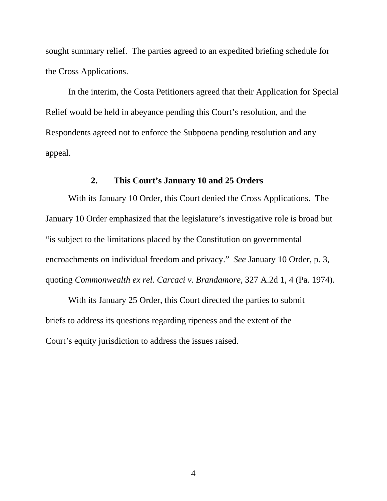sought summary relief. The parties agreed to an expedited briefing schedule for the Cross Applications.

In the interim, the Costa Petitioners agreed that their Application for Special Relief would be held in abeyance pending this Court's resolution, and the Respondents agreed not to enforce the Subpoena pending resolution and any appeal.

### **2. This Court's January 10 and 25 Orders**

With its January 10 Order, this Court denied the Cross Applications. The January 10 Order emphasized that the legislature's investigative role is broad but "is subject to the limitations placed by the Constitution on governmental encroachments on individual freedom and privacy." *See* January 10 Order, p. 3, quoting *Commonwealth ex rel. Carcaci v. Brandamore*, 327 A.2d 1, 4 (Pa. 1974).

With its January 25 Order, this Court directed the parties to submit briefs to address its questions regarding ripeness and the extent of the Court's equity jurisdiction to address the issues raised.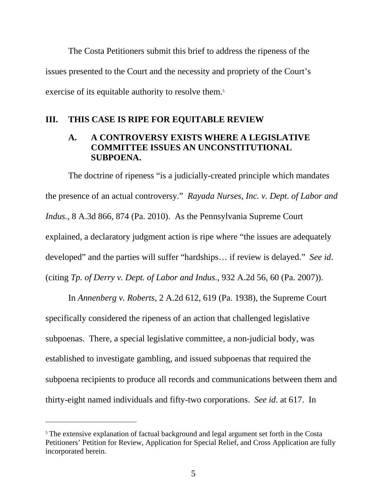The Costa Petitioners submit this brief to address the ripeness of the issues presented to the Court and the necessity and propriety of the Court's exercise of its equitable authority to resolve them.<sup>5</sup>

#### **III. THIS CASE IS RIPE FOR EQUITABLE REVIEW**

## **A. A CONTROVERSY EXISTS WHERE A LEGISLATIVE COMMITTEE ISSUES AN UNCONSTITUTIONAL SUBPOENA.**

The doctrine of ripeness "is a judicially-created principle which mandates the presence of an actual controversy." *Rayada Nurses, Inc. v. Dept. of Labor and Indus.*, 8 A.3d 866, 874 (Pa. 2010). As the Pennsylvania Supreme Court explained, a declaratory judgment action is ripe where "the issues are adequately developed" and the parties will suffer "hardships… if review is delayed." *See id*. (citing *Tp. of Derry v. Dept. of Labor and Indus.*, 932 A.2d 56, 60 (Pa. 2007)).

In *Annenberg v. Roberts*, 2 A.2d 612, 619 (Pa. 1938), the Supreme Court specifically considered the ripeness of an action that challenged legislative subpoenas. There, a special legislative committee, a non-judicial body, was established to investigate gambling, and issued subpoenas that required the subpoena recipients to produce all records and communications between them and thirty-eight named individuals and fifty-two corporations. *See id*. at 617. In

<sup>&</sup>lt;sup>5</sup> The extensive explanation of factual background and legal argument set forth in the Costa Petitioners' Petition for Review, Application for Special Relief, and Cross Application are fully incorporated herein.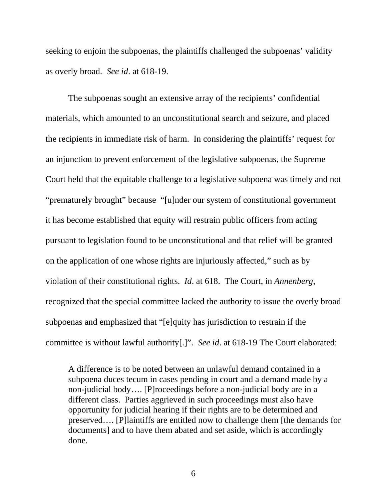seeking to enjoin the subpoenas, the plaintiffs challenged the subpoenas' validity as overly broad. *See id*. at 618-19.

The subpoenas sought an extensive array of the recipients' confidential materials, which amounted to an unconstitutional search and seizure, and placed the recipients in immediate risk of harm. In considering the plaintiffs' request for an injunction to prevent enforcement of the legislative subpoenas, the Supreme Court held that the equitable challenge to a legislative subpoena was timely and not "prematurely brought" because "[u]nder our system of constitutional government it has become established that equity will restrain public officers from acting pursuant to legislation found to be unconstitutional and that relief will be granted on the application of one whose rights are injuriously affected," such as by violation of their constitutional rights. *Id*. at 618. The Court, in *Annenberg*, recognized that the special committee lacked the authority to issue the overly broad subpoenas and emphasized that "[e]quity has jurisdiction to restrain if the committee is without lawful authority[.]". *See id*. at 618-19 The Court elaborated:

A difference is to be noted between an unlawful demand contained in a subpoena duces tecum in cases pending in court and a demand made by a non-judicial body…. [P]roceedings before a non-judicial body are in a different class. Parties aggrieved in such proceedings must also have opportunity for judicial hearing if their rights are to be determined and preserved…. [P]laintiffs are entitled now to challenge them [the demands for documents] and to have them abated and set aside, which is accordingly done.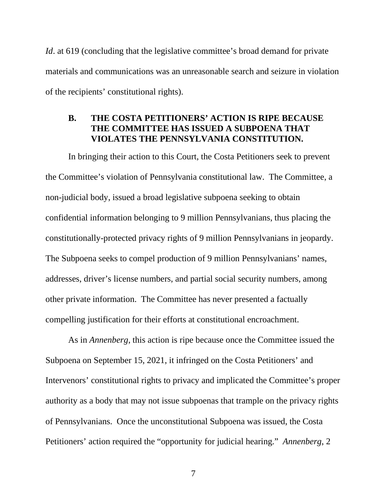*Id*. at 619 (concluding that the legislative committee's broad demand for private materials and communications was an unreasonable search and seizure in violation of the recipients' constitutional rights).

## **B. THE COSTA PETITIONERS' ACTION IS RIPE BECAUSE THE COMMITTEE HAS ISSUED A SUBPOENA THAT VIOLATES THE PENNSYLVANIA CONSTITUTION.**

In bringing their action to this Court, the Costa Petitioners seek to prevent the Committee's violation of Pennsylvania constitutional law. The Committee, a non-judicial body, issued a broad legislative subpoena seeking to obtain confidential information belonging to 9 million Pennsylvanians, thus placing the constitutionally-protected privacy rights of 9 million Pennsylvanians in jeopardy. The Subpoena seeks to compel production of 9 million Pennsylvanians' names, addresses, driver's license numbers, and partial social security numbers, among other private information. The Committee has never presented a factually compelling justification for their efforts at constitutional encroachment.

As in *Annenberg*, this action is ripe because once the Committee issued the Subpoena on September 15, 2021, it infringed on the Costa Petitioners' and Intervenors' constitutional rights to privacy and implicated the Committee's proper authority as a body that may not issue subpoenas that trample on the privacy rights of Pennsylvanians. Once the unconstitutional Subpoena was issued, the Costa Petitioners' action required the "opportunity for judicial hearing." *Annenberg*, 2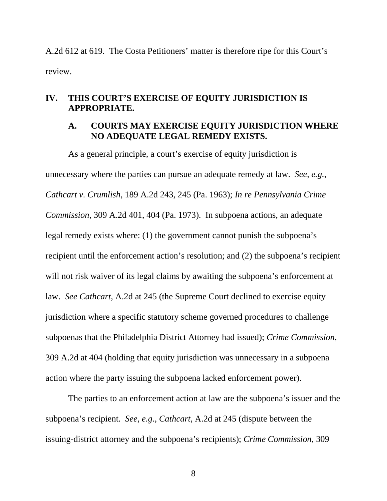A.2d 612 at 619. The Costa Petitioners' matter is therefore ripe for this Court's review.

### **IV. THIS COURT'S EXERCISE OF EQUITY JURISDICTION IS APPROPRIATE.**

### **A. COURTS MAY EXERCISE EQUITY JURISDICTION WHERE NO ADEQUATE LEGAL REMEDY EXISTS.**

As a general principle, a court's exercise of equity jurisdiction is unnecessary where the parties can pursue an adequate remedy at law. *See, e.g.*, *Cathcart v. Crumlish*, 189 A.2d 243, 245 (Pa. 1963); *In re Pennsylvania Crime Commission*, 309 A.2d 401, 404 (Pa. 1973). In subpoena actions, an adequate legal remedy exists where: (1) the government cannot punish the subpoena's recipient until the enforcement action's resolution; and (2) the subpoena's recipient will not risk waiver of its legal claims by awaiting the subpoena's enforcement at law. *See Cathcart*, A.2d at 245 (the Supreme Court declined to exercise equity jurisdiction where a specific statutory scheme governed procedures to challenge subpoenas that the Philadelphia District Attorney had issued); *Crime Commission*, 309 A.2d at 404 (holding that equity jurisdiction was unnecessary in a subpoena action where the party issuing the subpoena lacked enforcement power).

The parties to an enforcement action at law are the subpoena's issuer and the subpoena's recipient. *See, e.g.*, *Cathcart*, A.2d at 245 (dispute between the issuing-district attorney and the subpoena's recipients); *Crime Commission*, 309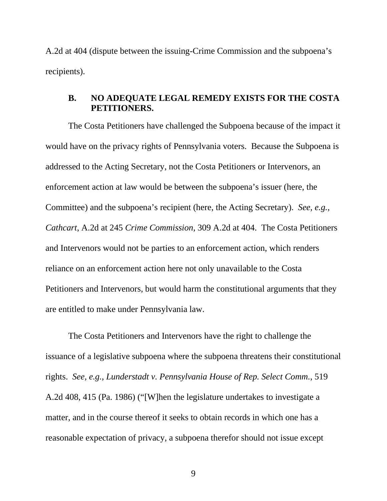A.2d at 404 (dispute between the issuing-Crime Commission and the subpoena's recipients).

### **B. NO ADEQUATE LEGAL REMEDY EXISTS FOR THE COSTA PETITIONERS.**

The Costa Petitioners have challenged the Subpoena because of the impact it would have on the privacy rights of Pennsylvania voters. Because the Subpoena is addressed to the Acting Secretary, not the Costa Petitioners or Intervenors, an enforcement action at law would be between the subpoena's issuer (here, the Committee) and the subpoena's recipient (here, the Acting Secretary). *See, e.g.*, *Cathcart*, A.2d at 245 *Crime Commission*, 309 A.2d at 404. The Costa Petitioners and Intervenors would not be parties to an enforcement action, which renders reliance on an enforcement action here not only unavailable to the Costa Petitioners and Intervenors, but would harm the constitutional arguments that they are entitled to make under Pennsylvania law.

The Costa Petitioners and Intervenors have the right to challenge the issuance of a legislative subpoena where the subpoena threatens their constitutional rights. *See, e.g.*, *Lunderstadt v. Pennsylvania House of Rep. Select Comm.*, 519 A.2d 408, 415 (Pa. 1986) ("[W]hen the legislature undertakes to investigate a matter, and in the course thereof it seeks to obtain records in which one has a reasonable expectation of privacy, a subpoena therefor should not issue except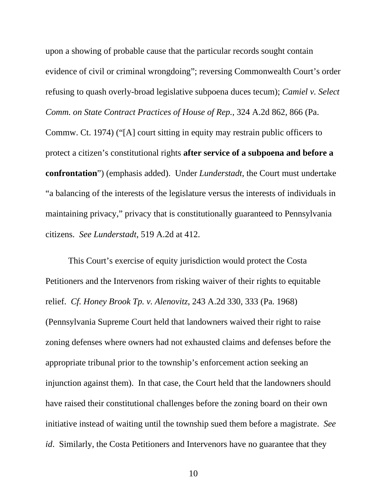upon a showing of probable cause that the particular records sought contain evidence of civil or criminal wrongdoing"; reversing Commonwealth Court's order refusing to quash overly-broad legislative subpoena duces tecum); *Camiel v. Select Comm. on State Contract Practices of House of Rep.*, 324 A.2d 862, 866 (Pa.

Commw. Ct. 1974) ("[A] court sitting in equity may restrain public officers to protect a citizen's constitutional rights **after service of a subpoena and before a confrontation**") (emphasis added). Under *Lunderstadt*, the Court must undertake "a balancing of the interests of the legislature versus the interests of individuals in maintaining privacy," privacy that is constitutionally guaranteed to Pennsylvania citizens. *See Lunderstadt*, 519 A.2d at 412.

This Court's exercise of equity jurisdiction would protect the Costa Petitioners and the Intervenors from risking waiver of their rights to equitable relief. *Cf. Honey Brook Tp. v. Alenovitz*, 243 A.2d 330, 333 (Pa. 1968) (Pennsylvania Supreme Court held that landowners waived their right to raise zoning defenses where owners had not exhausted claims and defenses before the appropriate tribunal prior to the township's enforcement action seeking an injunction against them). In that case, the Court held that the landowners should have raised their constitutional challenges before the zoning board on their own initiative instead of waiting until the township sued them before a magistrate. *See id*. Similarly, the Costa Petitioners and Intervenors have no guarantee that they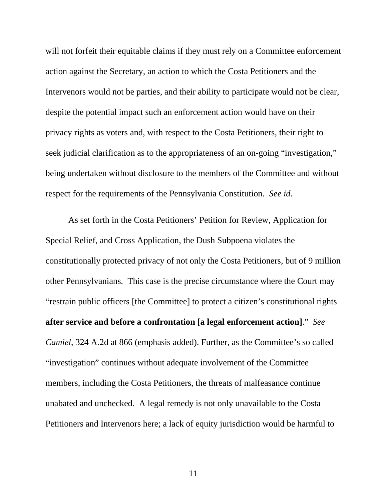will not forfeit their equitable claims if they must rely on a Committee enforcement action against the Secretary, an action to which the Costa Petitioners and the Intervenors would not be parties, and their ability to participate would not be clear, despite the potential impact such an enforcement action would have on their privacy rights as voters and, with respect to the Costa Petitioners, their right to seek judicial clarification as to the appropriateness of an on-going "investigation," being undertaken without disclosure to the members of the Committee and without respect for the requirements of the Pennsylvania Constitution. *See id*.

As set forth in the Costa Petitioners' Petition for Review, Application for Special Relief, and Cross Application, the Dush Subpoena violates the constitutionally protected privacy of not only the Costa Petitioners, but of 9 million other Pennsylvanians. This case is the precise circumstance where the Court may "restrain public officers [the Committee] to protect a citizen's constitutional rights **after service and before a confrontation [a legal enforcement action]**." *See Camiel*, 324 A.2d at 866 (emphasis added). Further, as the Committee's so called "investigation" continues without adequate involvement of the Committee members, including the Costa Petitioners, the threats of malfeasance continue unabated and unchecked. A legal remedy is not only unavailable to the Costa Petitioners and Intervenors here; a lack of equity jurisdiction would be harmful to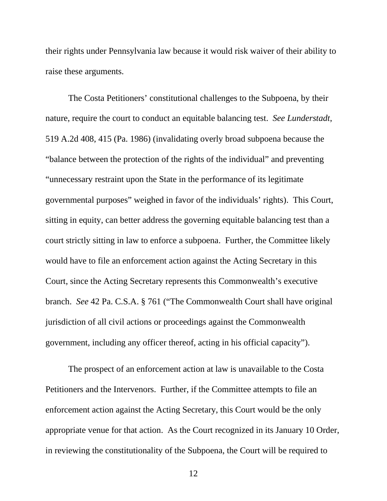their rights under Pennsylvania law because it would risk waiver of their ability to raise these arguments.

The Costa Petitioners' constitutional challenges to the Subpoena, by their nature, require the court to conduct an equitable balancing test. *See Lunderstadt*, 519 A.2d 408, 415 (Pa. 1986) (invalidating overly broad subpoena because the "balance between the protection of the rights of the individual" and preventing "unnecessary restraint upon the State in the performance of its legitimate governmental purposes" weighed in favor of the individuals' rights). This Court, sitting in equity, can better address the governing equitable balancing test than a court strictly sitting in law to enforce a subpoena. Further, the Committee likely would have to file an enforcement action against the Acting Secretary in this Court, since the Acting Secretary represents this Commonwealth's executive branch. *See* 42 Pa. C.S.A. § 761 ("The Commonwealth Court shall have original jurisdiction of all civil actions or proceedings against the Commonwealth government, including any officer thereof, acting in his official capacity").

The prospect of an enforcement action at law is unavailable to the Costa Petitioners and the Intervenors. Further, if the Committee attempts to file an enforcement action against the Acting Secretary, this Court would be the only appropriate venue for that action. As the Court recognized in its January 10 Order, in reviewing the constitutionality of the Subpoena, the Court will be required to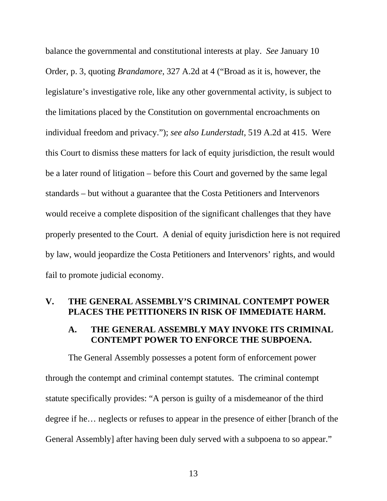balance the governmental and constitutional interests at play. *See* January 10 Order, p. 3, quoting *Brandamore*, 327 A.2d at 4 ("Broad as it is, however, the legislature's investigative role, like any other governmental activity, is subject to the limitations placed by the Constitution on governmental encroachments on individual freedom and privacy."); *see also Lunderstadt*, 519 A.2d at 415. Were this Court to dismiss these matters for lack of equity jurisdiction, the result would be a later round of litigation – before this Court and governed by the same legal standards – but without a guarantee that the Costa Petitioners and Intervenors would receive a complete disposition of the significant challenges that they have properly presented to the Court. A denial of equity jurisdiction here is not required by law, would jeopardize the Costa Petitioners and Intervenors' rights, and would fail to promote judicial economy.

#### **V. THE GENERAL ASSEMBLY'S CRIMINAL CONTEMPT POWER PLACES THE PETITIONERS IN RISK OF IMMEDIATE HARM.**

### **A. THE GENERAL ASSEMBLY MAY INVOKE ITS CRIMINAL CONTEMPT POWER TO ENFORCE THE SUBPOENA.**

The General Assembly possesses a potent form of enforcement power through the contempt and criminal contempt statutes. The criminal contempt statute specifically provides: "A person is guilty of a misdemeanor of the third degree if he… neglects or refuses to appear in the presence of either [branch of the General Assembly] after having been duly served with a subpoena to so appear."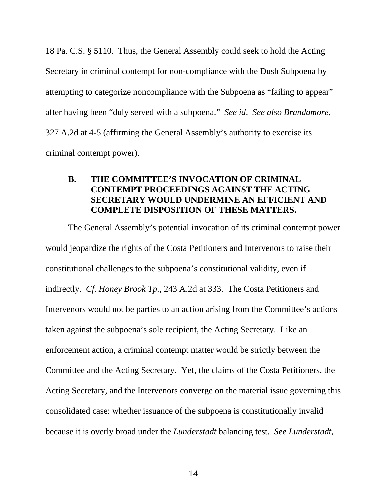18 Pa. C.S. § 5110. Thus, the General Assembly could seek to hold the Acting Secretary in criminal contempt for non-compliance with the Dush Subpoena by attempting to categorize noncompliance with the Subpoena as "failing to appear" after having been "duly served with a subpoena." *See id*. *See also Brandamore*, 327 A.2d at 4-5 (affirming the General Assembly's authority to exercise its criminal contempt power).

## **B. THE COMMITTEE'S INVOCATION OF CRIMINAL CONTEMPT PROCEEDINGS AGAINST THE ACTING SECRETARY WOULD UNDERMINE AN EFFICIENT AND COMPLETE DISPOSITION OF THESE MATTERS.**

The General Assembly's potential invocation of its criminal contempt power would jeopardize the rights of the Costa Petitioners and Intervenors to raise their constitutional challenges to the subpoena's constitutional validity, even if indirectly. *Cf. Honey Brook Tp.*, 243 A.2d at 333. The Costa Petitioners and Intervenors would not be parties to an action arising from the Committee's actions taken against the subpoena's sole recipient, the Acting Secretary. Like an enforcement action, a criminal contempt matter would be strictly between the Committee and the Acting Secretary. Yet, the claims of the Costa Petitioners, the Acting Secretary, and the Intervenors converge on the material issue governing this consolidated case: whether issuance of the subpoena is constitutionally invalid because it is overly broad under the *Lunderstadt* balancing test. *See Lunderstadt*,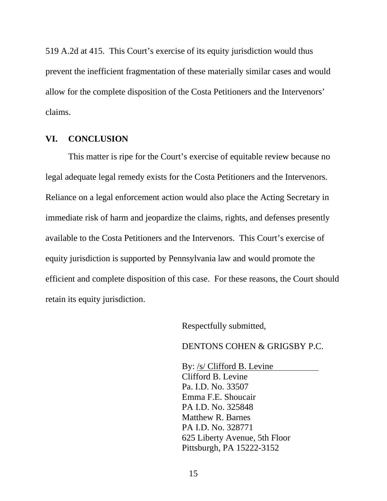519 A.2d at 415. This Court's exercise of its equity jurisdiction would thus prevent the inefficient fragmentation of these materially similar cases and would allow for the complete disposition of the Costa Petitioners and the Intervenors' claims.

#### **VI. CONCLUSION**

This matter is ripe for the Court's exercise of equitable review because no legal adequate legal remedy exists for the Costa Petitioners and the Intervenors. Reliance on a legal enforcement action would also place the Acting Secretary in immediate risk of harm and jeopardize the claims, rights, and defenses presently available to the Costa Petitioners and the Intervenors. This Court's exercise of equity jurisdiction is supported by Pennsylvania law and would promote the efficient and complete disposition of this case. For these reasons, the Court should retain its equity jurisdiction.

Respectfully submitted,

DENTONS COHEN & GRIGSBY P.C.

By: /s/ Clifford B. Levine Clifford B. Levine Pa. I.D. No. 33507 Emma F.E. Shoucair PA I.D. No. 325848 Matthew R. Barnes PA I.D. No. 328771 625 Liberty Avenue, 5th Floor Pittsburgh, PA 15222-3152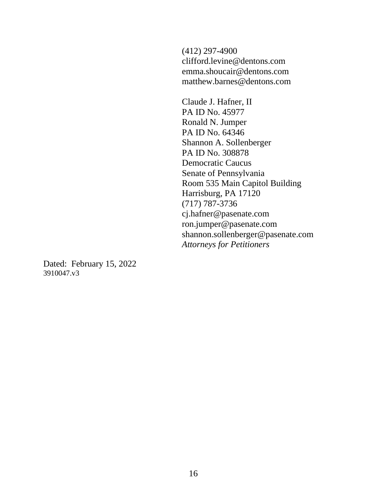(412) 297-4900 clifford.levine@dentons.com emma.shoucair@dentons.com matthew.barnes@dentons.com

Claude J. Hafner, II PA ID No. 45977 Ronald N. Jumper PA ID No. 64346 Shannon A. Sollenberger PA ID No. 308878 Democratic Caucus Senate of Pennsylvania Room 535 Main Capitol Building Harrisburg, PA 17120 (717) 787-3736 cj.hafner@pasenate.com ron.jumper@pasenate.com shannon.sollenberger@pasenate.com *Attorneys for Petitioners*

Dated: February 15, 2022 3910047.v3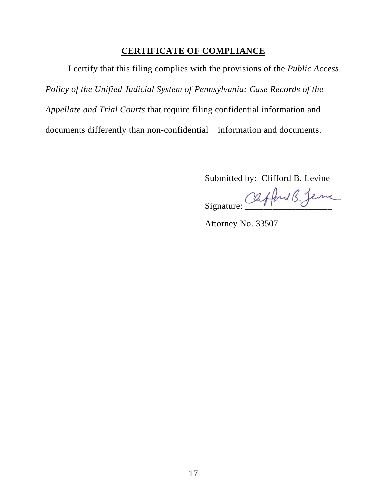## **CERTIFICATE OF COMPLIANCE**

I certify that this filing complies with the provisions of the *Public Access Policy of the Unified Judicial System of Pennsylvania: Case Records of the Appellate and Trial Courts* that require filing confidential information and documents differently than non-confidential information and documents.

Submitted by: Clifford B. Levine

Signature: Cafford B. Jenne

Attorney No. 33507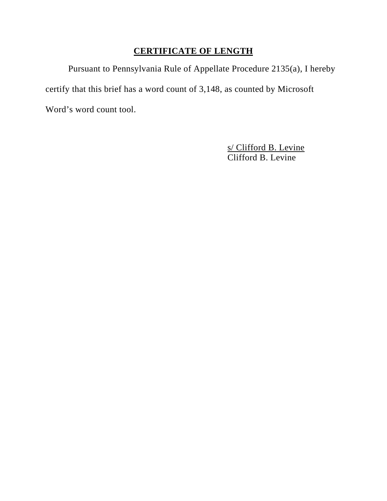# **CERTIFICATE OF LENGTH**

Pursuant to Pennsylvania Rule of Appellate Procedure 2135(a), I hereby certify that this brief has a word count of 3,148, as counted by Microsoft Word's word count tool.

> s/ Clifford B. Levine Clifford B. Levine